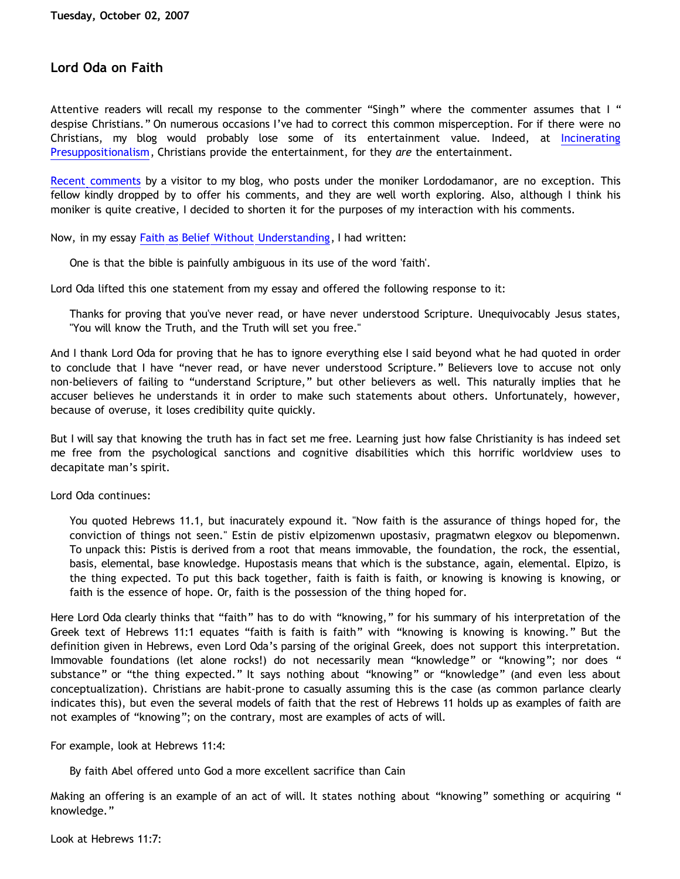## **Lord Oda on Faith**

Attentive readers will recall my response to the commenter "Singh" where the commenter assumes that I " despise Christians." On numerous occasions I've had to correct this common misperception. For if there were no Christians, my blog would probably lose some of its entertainment value. Indeed, at [Incinerating](http://bahnsenburner.blogspot.com/) [Presuppositionalism](http://bahnsenburner.blogspot.com/), Christians provide the entertainment, for they *are* the entertainment.

[Recent comments](http://bahnsenburner.blogspot.com/2007/09/singhing-greg-bahnsen-blues.html) by a visitor to my blog, who posts under the moniker Lordodamanor, are no exception. This fellow kindly dropped by to offer his comments, and they are well worth exploring. Also, although I think his moniker is quite creative, I decided to shorten it for the purposes of my interaction with his comments.

Now, in my essay [Faith as Belief Without Understanding,](http://bahnsenburner.blogspot.com/2007/01/faith-as-belief-without-understanding.html) I had written:

One is that the bible is painfully ambiguous in its use of the word 'faith'.

Lord Oda lifted this one statement from my essay and offered the following response to it:

Thanks for proving that you've never read, or have never understood Scripture. Unequivocably Jesus states, "You will know the Truth, and the Truth will set you free."

And I thank Lord Oda for proving that he has to ignore everything else I said beyond what he had quoted in order to conclude that I have "never read, or have never understood Scripture." Believers love to accuse not only non-believers of failing to "understand Scripture," but other believers as well. This naturally implies that he accuser believes he understands it in order to make such statements about others. Unfortunately, however, because of overuse, it loses credibility quite quickly.

But I will say that knowing the truth has in fact set me free. Learning just how false Christianity is has indeed set me free from the psychological sanctions and cognitive disabilities which this horrific worldview uses to decapitate man's spirit.

Lord Oda continues:

You quoted Hebrews 11.1, but inacurately expound it. "Now faith is the assurance of things hoped for, the conviction of things not seen." Estin de pistiv elpizomenwn upostasiv, pragmatwn elegxov ou blepomenwn. To unpack this: Pistis is derived from a root that means immovable, the foundation, the rock, the essential, basis, elemental, base knowledge. Hupostasis means that which is the substance, again, elemental. Elpizo, is the thing expected. To put this back together, faith is faith is faith, or knowing is knowing is knowing, or faith is the essence of hope. Or, faith is the possession of the thing hoped for.

Here Lord Oda clearly thinks that "faith" has to do with "knowing," for his summary of his interpretation of the Greek text of Hebrews 11:1 equates "faith is faith is faith" with "knowing is knowing is knowing." But the definition given in Hebrews, even Lord Oda's parsing of the original Greek, does not support this interpretation. Immovable foundations (let alone rocks!) do not necessarily mean "knowledge" or "knowing"; nor does " substance" or "the thing expected." It says nothing about "knowing" or "knowledge" (and even less about conceptualization). Christians are habit-prone to casually assuming this is the case (as common parlance clearly indicates this), but even the several models of faith that the rest of Hebrews 11 holds up as examples of faith are not examples of "knowing"; on the contrary, most are examples of acts of will.

For example, look at Hebrews 11:4:

By faith Abel offered unto God a more excellent sacrifice than Cain

Making an offering is an example of an act of will. It states nothing about "knowing" something or acquiring " knowledge."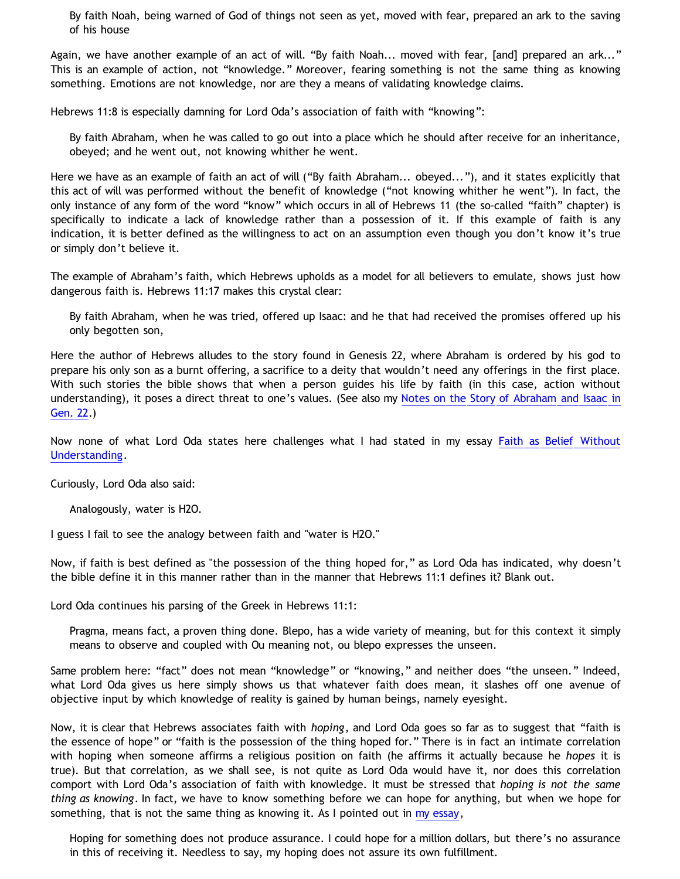By faith Noah, being warned of God of things not seen as yet, moved with fear, prepared an ark to the saving of his house

Again, we have another example of an act of will. "By faith Noah... moved with fear, [and] prepared an ark..." This is an example of action, not "knowledge." Moreover, fearing something is not the same thing as knowing something. Emotions are not knowledge, nor are they a means of validating knowledge claims.

Hebrews 11:8 is especially damning for Lord Oda's association of faith with "knowing":

By faith Abraham, when he was called to go out into a place which he should after receive for an inheritance, obeyed; and he went out, not knowing whither he went.

Here we have as an example of faith an act of will ("By faith Abraham... obeyed..."), and it states explicitly that this act of will was performed without the benefit of knowledge ("not knowing whither he went"). In fact, the only instance of any form of the word "know" which occurs in all of Hebrews 11 (the so-called "faith" chapter) is specifically to indicate a lack of knowledge rather than a possession of it. If this example of faith is any indication, it is better defined as the willingness to act on an assumption even though you don't know it's true or simply don't believe it.

The example of Abraham's faith, which Hebrews upholds as a model for all believers to emulate, shows just how dangerous faith is. Hebrews 11:17 makes this crystal clear:

By faith Abraham, when he was tried, offered up Isaac: and he that had received the promises offered up his only begotten son,

Here the author of Hebrews alludes to the story found in Genesis 22, where Abraham is ordered by his god to prepare his only son as a burnt offering, a sacrifice to a deity that wouldn't need any offerings in the first place. With such stories the bible shows that when a person guides his life by faith (in this case, action without understanding), it poses a direct threat to one's values. (See also my [Notes on the Story of Abraham and Isaac in](http://www.geocities.com/katholon/dialogos/archive.htm) [Gen. 22.](http://www.geocities.com/katholon/dialogos/archive.htm))

Now none of what Lord Oda states here challenges what I had stated in my essay [Faith as Belief Without](http://bahnsenburner.blogspot.com/2007/01/faith-as-belief-without-understanding.html) [Understanding](http://bahnsenburner.blogspot.com/2007/01/faith-as-belief-without-understanding.html).

Curiously, Lord Oda also said:

Analogously, water is H2O.

I guess I fail to see the analogy between faith and "water is H2O."

Now, if faith is best defined as "the possession of the thing hoped for," as Lord Oda has indicated, why doesn't the bible define it in this manner rather than in the manner that Hebrews 11:1 defines it? Blank out.

Lord Oda continues his parsing of the Greek in Hebrews 11:1:

Pragma, means fact, a proven thing done. Blepo, has a wide variety of meaning, but for this context it simply means to observe and coupled with Ou meaning not, ou blepo expresses the unseen.

Same problem here: "fact" does not mean "knowledge" or "knowing," and neither does "the unseen." Indeed, what Lord Oda gives us here simply shows us that whatever faith does mean, it slashes off one avenue of objective input by which knowledge of reality is gained by human beings, namely eyesight.

Now, it is clear that Hebrews associates faith with *hoping*, and Lord Oda goes so far as to suggest that "faith is the essence of hope" or "faith is the possession of the thing hoped for." There is in fact an intimate correlation with hoping when someone affirms a religious position on faith (he affirms it actually because he *hopes* it is true). But that correlation, as we shall see, is not quite as Lord Oda would have it, nor does this correlation comport with Lord Oda's association of faith with knowledge. It must be stressed that *hoping is not the same thing as knowing*. In fact, we have to know something before we can hope for anything, but when we hope for something, that is not the same thing as knowing it. As I pointed out in [my essay](http://bahnsenburner.blogspot.com/2007/01/faith-as-belief-without-understanding.html),

Hoping for something does not produce assurance. I could hope for a million dollars, but there's no assurance in this of receiving it. Needless to say, my hoping does not assure its own fulfillment.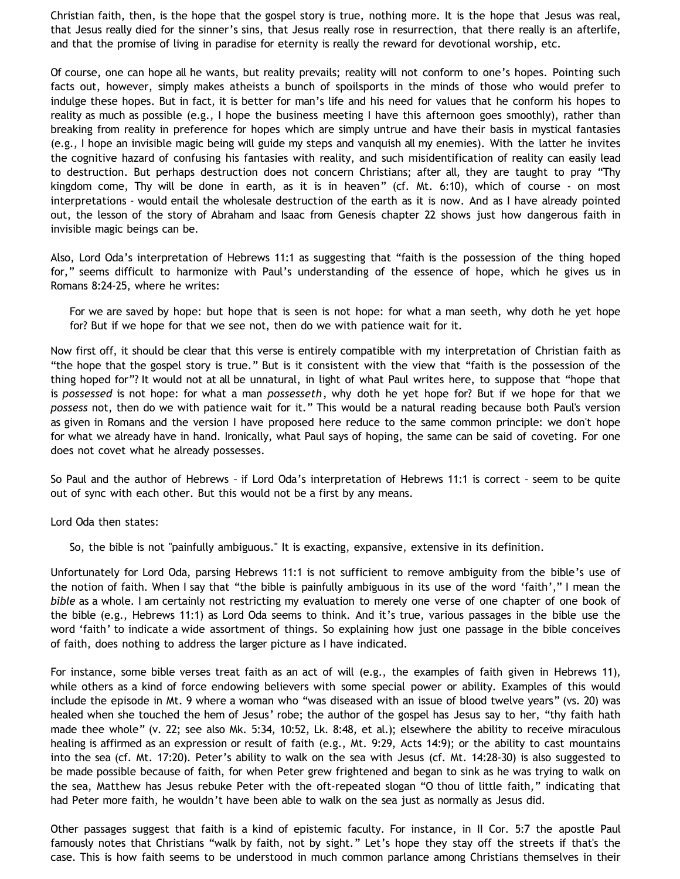Christian faith, then, is the hope that the gospel story is true, nothing more. It is the hope that Jesus was real, that Jesus really died for the sinner's sins, that Jesus really rose in resurrection, that there really is an afterlife, and that the promise of living in paradise for eternity is really the reward for devotional worship, etc.

Of course, one can hope all he wants, but reality prevails; reality will not conform to one's hopes. Pointing such facts out, however, simply makes atheists a bunch of spoilsports in the minds of those who would prefer to indulge these hopes. But in fact, it is better for man's life and his need for values that he conform his hopes to reality as much as possible (e.g., I hope the business meeting I have this afternoon goes smoothly), rather than breaking from reality in preference for hopes which are simply untrue and have their basis in mystical fantasies (e.g., I hope an invisible magic being will guide my steps and vanquish all my enemies). With the latter he invites the cognitive hazard of confusing his fantasies with reality, and such misidentification of reality can easily lead to destruction. But perhaps destruction does not concern Christians; after all, they are taught to pray "Thy kingdom come, Thy will be done in earth, as it is in heaven" (cf. Mt. 6:10), which of course - on most interpretations - would entail the wholesale destruction of the earth as it is now. And as I have already pointed out, the lesson of the story of Abraham and Isaac from Genesis chapter 22 shows just how dangerous faith in invisible magic beings can be.

Also, Lord Oda's interpretation of Hebrews 11:1 as suggesting that "faith is the possession of the thing hoped for," seems difficult to harmonize with Paul's understanding of the essence of hope, which he gives us in Romans 8:24-25, where he writes:

For we are saved by hope: but hope that is seen is not hope: for what a man seeth, why doth he yet hope for? But if we hope for that we see not, then do we with patience wait for it.

Now first off, it should be clear that this verse is entirely compatible with my interpretation of Christian faith as "the hope that the gospel story is true." But is it consistent with the view that "faith is the possession of the thing hoped for"? It would not at all be unnatural, in light of what Paul writes here, to suppose that "hope that is *possessed* is not hope: for what a man *possesseth*, why doth he yet hope for? But if we hope for that we *possess* not, then do we with patience wait for it." This would be a natural reading because both Paul's version as given in Romans and the version I have proposed here reduce to the same common principle: we don't hope for what we already have in hand. Ironically, what Paul says of hoping, the same can be said of coveting. For one does not covet what he already possesses.

So Paul and the author of Hebrews – if Lord Oda's interpretation of Hebrews 11:1 is correct – seem to be quite out of sync with each other. But this would not be a first by any means.

Lord Oda then states:

So, the bible is not "painfully ambiguous." It is exacting, expansive, extensive in its definition.

Unfortunately for Lord Oda, parsing Hebrews 11:1 is not sufficient to remove ambiguity from the bible's use of the notion of faith. When I say that "the bible is painfully ambiguous in its use of the word 'faith'," I mean the *bible* as a whole. I am certainly not restricting my evaluation to merely one verse of one chapter of one book of the bible (e.g., Hebrews 11:1) as Lord Oda seems to think. And it's true, various passages in the bible use the word 'faith' to indicate a wide assortment of things. So explaining how just one passage in the bible conceives of faith, does nothing to address the larger picture as I have indicated.

For instance, some bible verses treat faith as an act of will (e.g., the examples of faith given in Hebrews 11), while others as a kind of force endowing believers with some special power or ability. Examples of this would include the episode in Mt. 9 where a woman who "was diseased with an issue of blood twelve years" (vs. 20) was healed when she touched the hem of Jesus' robe; the author of the gospel has Jesus say to her, "thy faith hath made thee whole" (v. 22; see also Mk. 5:34, 10:52, Lk. 8:48, et al.); elsewhere the ability to receive miraculous healing is affirmed as an expression or result of faith (e.g., Mt. 9:29, Acts 14:9); or the ability to cast mountains into the sea (cf. Mt. 17:20). Peter's ability to walk on the sea with Jesus (cf. Mt. 14:28-30) is also suggested to be made possible because of faith, for when Peter grew frightened and began to sink as he was trying to walk on the sea, Matthew has Jesus rebuke Peter with the oft-repeated slogan "O thou of little faith," indicating that had Peter more faith, he wouldn't have been able to walk on the sea just as normally as Jesus did.

Other passages suggest that faith is a kind of epistemic faculty. For instance, in II Cor. 5:7 the apostle Paul famously notes that Christians "walk by faith, not by sight." Let's hope they stay off the streets if that's the case. This is how faith seems to be understood in much common parlance among Christians themselves in their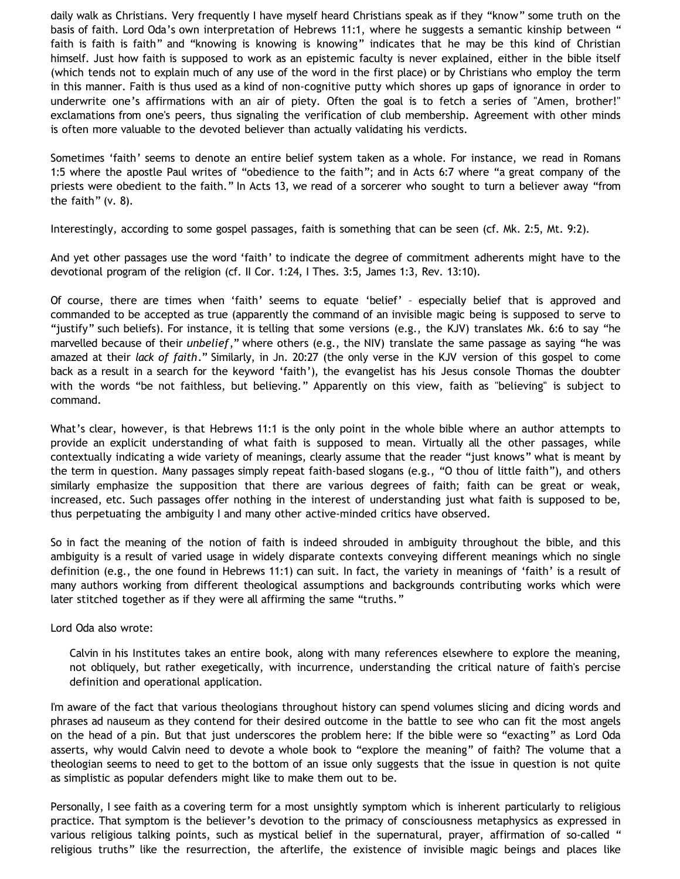daily walk as Christians. Very frequently I have myself heard Christians speak as if they "know" some truth on the basis of faith. Lord Oda's own interpretation of Hebrews 11:1, where he suggests a semantic kinship between " faith is faith is faith" and "knowing is knowing is knowing" indicates that he may be this kind of Christian himself. Just how faith is supposed to work as an epistemic faculty is never explained, either in the bible itself (which tends not to explain much of any use of the word in the first place) or by Christians who employ the term in this manner. Faith is thus used as a kind of non-cognitive putty which shores up gaps of ignorance in order to underwrite one's affirmations with an air of piety. Often the goal is to fetch a series of "Amen, brother!" exclamations from one's peers, thus signaling the verification of club membership. Agreement with other minds is often more valuable to the devoted believer than actually validating his verdicts.

Sometimes 'faith' seems to denote an entire belief system taken as a whole. For instance, we read in Romans 1:5 where the apostle Paul writes of "obedience to the faith"; and in Acts 6:7 where "a great company of the priests were obedient to the faith." In Acts 13, we read of a sorcerer who sought to turn a believer away "from the faith" (v. 8).

Interestingly, according to some gospel passages, faith is something that can be seen (cf. Mk. 2:5, Mt. 9:2).

And yet other passages use the word 'faith' to indicate the degree of commitment adherents might have to the devotional program of the religion (cf. II Cor. 1:24, I Thes. 3:5, James 1:3, Rev. 13:10).

Of course, there are times when 'faith' seems to equate 'belief' – especially belief that is approved and commanded to be accepted as true (apparently the command of an invisible magic being is supposed to serve to "justify" such beliefs). For instance, it is telling that some versions (e.g., the KJV) translates Mk. 6:6 to say "he marvelled because of their *unbelief*," where others (e.g., the NIV) translate the same passage as saying "he was amazed at their *lack of faith*." Similarly, in Jn. 20:27 (the only verse in the KJV version of this gospel to come back as a result in a search for the keyword 'faith'), the evangelist has his Jesus console Thomas the doubter with the words "be not faithless, but believing." Apparently on this view, faith as "believing" is subject to command.

What's clear, however, is that Hebrews 11:1 is the only point in the whole bible where an author attempts to provide an explicit understanding of what faith is supposed to mean. Virtually all the other passages, while contextually indicating a wide variety of meanings, clearly assume that the reader "just knows" what is meant by the term in question. Many passages simply repeat faith-based slogans (e.g., "O thou of little faith"), and others similarly emphasize the supposition that there are various degrees of faith; faith can be great or weak, increased, etc. Such passages offer nothing in the interest of understanding just what faith is supposed to be, thus perpetuating the ambiguity I and many other active-minded critics have observed.

So in fact the meaning of the notion of faith is indeed shrouded in ambiguity throughout the bible, and this ambiguity is a result of varied usage in widely disparate contexts conveying different meanings which no single definition (e.g., the one found in Hebrews 11:1) can suit. In fact, the variety in meanings of 'faith' is a result of many authors working from different theological assumptions and backgrounds contributing works which were later stitched together as if they were all affirming the same "truths."

Lord Oda also wrote:

Calvin in his Institutes takes an entire book, along with many references elsewhere to explore the meaning, not obliquely, but rather exegetically, with incurrence, understanding the critical nature of faith's percise definition and operational application.

I'm aware of the fact that various theologians throughout history can spend volumes slicing and dicing words and phrases ad nauseum as they contend for their desired outcome in the battle to see who can fit the most angels on the head of a pin. But that just underscores the problem here: If the bible were so "exacting" as Lord Oda asserts, why would Calvin need to devote a whole book to "explore the meaning" of faith? The volume that a theologian seems to need to get to the bottom of an issue only suggests that the issue in question is not quite as simplistic as popular defenders might like to make them out to be.

Personally, I see faith as a covering term for a most unsightly symptom which is inherent particularly to religious practice. That symptom is the believer's devotion to the primacy of consciousness metaphysics as expressed in various religious talking points, such as mystical belief in the supernatural, prayer, affirmation of so-called " religious truths" like the resurrection, the afterlife, the existence of invisible magic beings and places like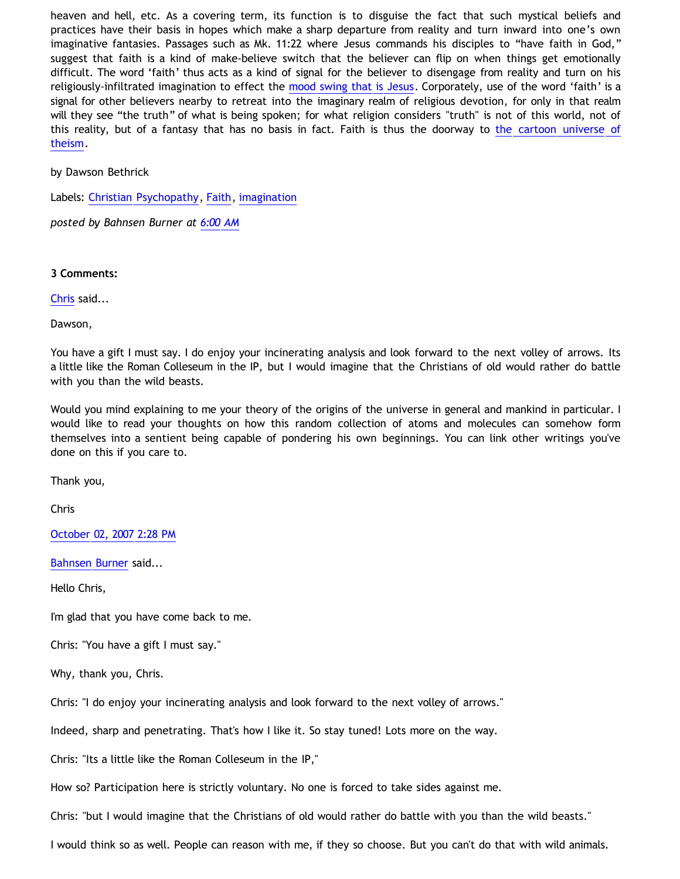heaven and hell, etc. As a covering term, its function is to disguise the fact that such mystical beliefs and practices have their basis in hopes which make a sharp departure from reality and turn inward into one's own imaginative fantasies. Passages such as Mk. 11:22 where Jesus commands his disciples to "have faith in God," suggest that faith is a kind of make-believe switch that the believer can flip on when things get emotionally difficult. The word 'faith' thus acts as a kind of signal for the believer to disengage from reality and turn on his religiously-infiltrated imagination to effect the [mood swing that is Jesus.](http://bahnsenburner.blogspot.com/2006/06/carr-vs-cole.html) Corporately, use of the word 'faith' is a signal for other believers nearby to retreat into the imaginary realm of religious devotion, for only in that realm will they see "the truth" of what is being spoken; for what religion considers "truth" is not of this world, not of this reality, but of a fantasy that has no basis in fact. Faith is thus the doorway to [the cartoon universe of](http://www.strongatheism.net/library/atheology/cartoon_universe_of_theism/) [theism](http://www.strongatheism.net/library/atheology/cartoon_universe_of_theism/).

by Dawson Bethrick

Labels: [Christian Psychopathy,](http://bahnsenburner.blogspot.com/search/label/Christian%20Psychopathy) [Faith,](http://bahnsenburner.blogspot.com/search/label/Faith) [imagination](http://bahnsenburner.blogspot.com/search/label/imagination)

*posted by Bahnsen Burner at [6:00 AM](http://bahnsenburner.blogspot.com/2007/10/lord-oda-on-faith.html)*

**3 Comments:**

[Chris](http://www.blogger.com/profile/13134785155889204025) said...

Dawson,

You have a gift I must say. I do enjoy your incinerating analysis and look forward to the next volley of arrows. Its a little like the Roman Colleseum in the IP, but I would imagine that the Christians of old would rather do battle with you than the wild beasts.

Would you mind explaining to me your theory of the origins of the universe in general and mankind in particular. I would like to read your thoughts on how this random collection of atoms and molecules can somehow form themselves into a sentient being capable of pondering his own beginnings. You can link other writings you've done on this if you care to.

Thank you,

Chris

[October 02, 2007 2:28 PM](http://bahnsenburner.blogspot.com/2007/10/8965795874253042378)

[Bahnsen Burner](http://www.blogger.com/profile/11030029491768748360) said...

Hello Chris,

I'm glad that you have come back to me.

Chris: "You have a gift I must say."

Why, thank you, Chris.

Chris: "I do enjoy your incinerating analysis and look forward to the next volley of arrows."

Indeed, sharp and penetrating. That's how I like it. So stay tuned! Lots more on the way.

Chris: "Its a little like the Roman Colleseum in the IP,"

How so? Participation here is strictly voluntary. No one is forced to take sides against me.

Chris: "but I would imagine that the Christians of old would rather do battle with you than the wild beasts."

I would think so as well. People can reason with me, if they so choose. But you can't do that with wild animals.